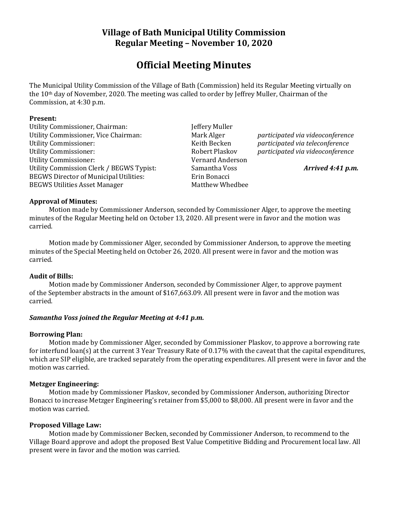## **Village of Bath Municipal Utility Commission Regular Meeting – November 10, 2020**

# **Official Meeting Minutes**

The Municipal Utility Commission of the Village of Bath (Commission) held its Regular Meeting virtually on the 10th day of November, 2020. The meeting was called to order by Jeffrey Muller, Chairman of the Commission, at 4:30 p.m.

#### **Present:**

Utility Commissioner, Chairman: Jeffery Muller Utility Commissioner, Vice Chairman: Mark Alger *participated via videoconference* Utility Commissioner: Keith Becken *participated via teleconference* Utility Commissioner: Robert Plaskov *participated via videoconference* Utility Commissioner: Vernard Anderson Utility Commission Clerk / BEGWS Typist: Samantha Voss *Arrived 4:41 p.m.* BEGWS Director of Municipal Utilities: Erin Bonacci BEGWS Utilities Asset Manager Matthew Whedbee

## **Approval of Minutes:**

Motion made by Commissioner Anderson, seconded by Commissioner Alger, to approve the meeting minutes of the Regular Meeting held on October 13, 2020. All present were in favor and the motion was carried.

Motion made by Commissioner Alger, seconded by Commissioner Anderson, to approve the meeting minutes of the Special Meeting held on October 26, 2020. All present were in favor and the motion was carried.

## **Audit of Bills:**

Motion made by Commissioner Anderson, seconded by Commissioner Alger, to approve payment of the September abstracts in the amount of \$167,663.09. All present were in favor and the motion was carried.

## *Samantha Voss joined the Regular Meeting at 4:41 p.m.*

#### **Borrowing Plan:**

Motion made by Commissioner Alger, seconded by Commissioner Plaskov, to approve a borrowing rate for interfund loan(s) at the current 3 Year Treasury Rate of 0.17% with the caveat that the capital expenditures, which are SIP eligible, are tracked separately from the operating expenditures. All present were in favor and the motion was carried.

## **Metzger Engineering:**

Motion made by Commissioner Plaskov, seconded by Commissioner Anderson, authorizing Director Bonacci to increase Metzger Engineering's retainer from \$5,000 to \$8,000. All present were in favor and the motion was carried.

#### **Proposed Village Law:**

Motion made by Commissioner Becken, seconded by Commissioner Anderson, to recommend to the Village Board approve and adopt the proposed Best Value Competitive Bidding and Procurement local law. All present were in favor and the motion was carried.